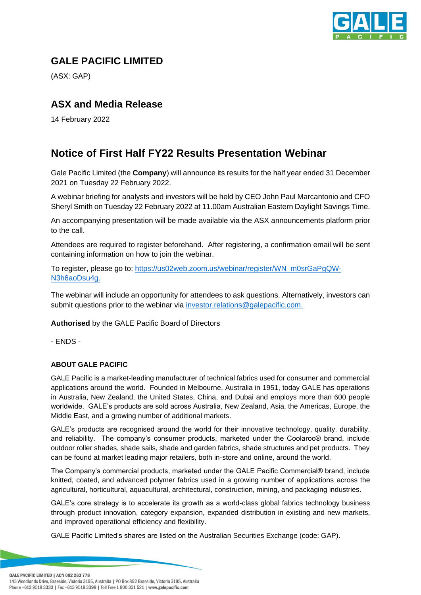

## **GALE PACIFIC LIMITED**

(ASX: GAP)

## **ASX and Media Release**

14 February 2022

## **Notice of First Half FY22 Results Presentation Webinar**

Gale Pacific Limited (the **Company**) will announce its results for the half year ended 31 December 2021 on Tuesday 22 February 2022.

A webinar briefing for analysts and investors will be held by CEO John Paul Marcantonio and CFO Sheryl Smith on Tuesday 22 February 2022 at 11.00am Australian Eastern Daylight Savings Time.

An accompanying presentation will be made available via the ASX announcements platform prior to the call.

Attendees are required to register beforehand. After registering, a confirmation email will be sent containing information on how to join the webinar.

To register, please go to: [https://us02web.zoom.us/webinar/register/WN\\_m0srGaPgQW-](https://us02web.zoom.us/webinar/register/WN_m0srGaPgQW-N3h6aoDsu4g)[N3h6aoDsu4g.](https://us02web.zoom.us/webinar/register/WN_m0srGaPgQW-N3h6aoDsu4g)

The webinar will include an opportunity for attendees to ask questions. Alternatively, investors can submit questions prior to the webinar via [investor.relations@galepacific.com.](mailto:investor.relations@galepacific.com)

**Authorised** by the GALE Pacific Board of Directors

- ENDS -

## **ABOUT GALE PACIFIC**

GALE Pacific is a market-leading manufacturer of technical fabrics used for consumer and commercial applications around the world. Founded in Melbourne, Australia in 1951, today GALE has operations in Australia, New Zealand, the United States, China, and Dubai and employs more than 600 people worldwide. GALE's products are sold across Australia, New Zealand, Asia, the Americas, Europe, the Middle East, and a growing number of additional markets.

GALE's products are recognised around the world for their innovative technology, quality, durability, and reliability. The company's consumer products, marketed under the Coolaroo® brand, include outdoor roller shades, shade sails, shade and garden fabrics, shade structures and pet products. They can be found at market leading major retailers, both in-store and online, around the world.

The Company's commercial products, marketed under the GALE Pacific Commercial® brand, include knitted, coated, and advanced polymer fabrics used in a growing number of applications across the agricultural, horticultural, aquacultural, architectural, construction, mining, and packaging industries.

GALE's core strategy is to accelerate its growth as a world-class global fabrics technology business through product innovation, category expansion, expanded distribution in existing and new markets, and improved operational efficiency and flexibility.

GALE Pacific Limited's shares are listed on the Australian Securities Exchange (code: GAP).

GALE PACIFIC LIMITED | ACN 082 263 778

145 Woodlands Drive, Braeside, Victoria 3195, Australia | PO Box 892 Braeside, Victoria 3195, Australia Phone +613 9518 3333 | Fax +613 9518 3398 | Toll Free 1 800 331 521 | www.galepacific.com